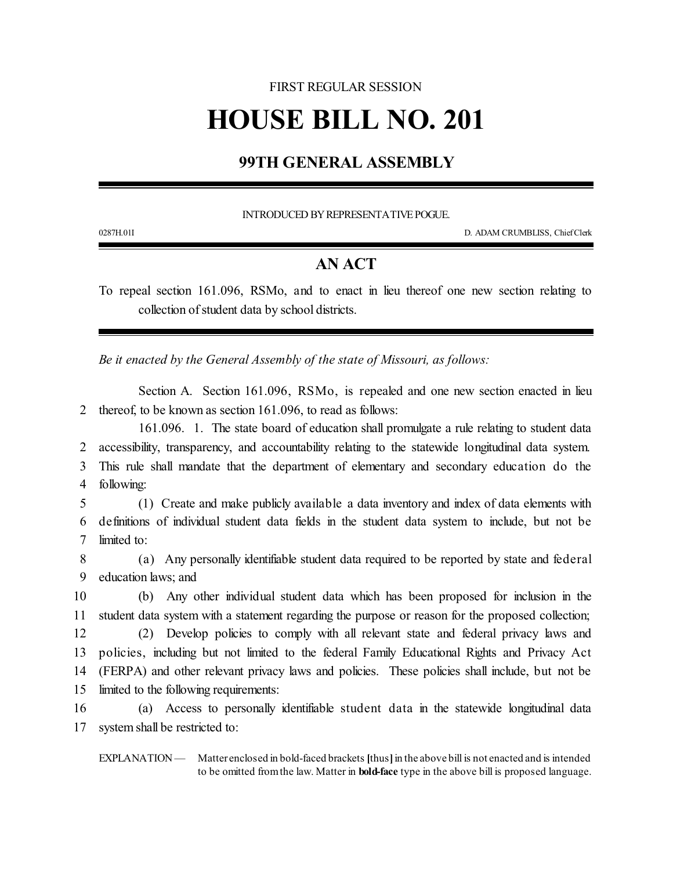## FIRST REGULAR SESSION **HOUSE BILL NO. 201**

## **99TH GENERAL ASSEMBLY**

INTRODUCED BY REPRESENTATIVE POGUE.

0287H.01I D. ADAM CRUMBLISS, ChiefClerk

## **AN ACT**

To repeal section 161.096, RSMo, and to enact in lieu thereof one new section relating to collection of student data by school districts.

*Be it enacted by the General Assembly of the state of Missouri, as follows:*

Section A. Section 161.096, RSMo, is repealed and one new section enacted in lieu 2 thereof, to be known as section 161.096, to read as follows:

161.096. 1. The state board of education shall promulgate a rule relating to student data accessibility, transparency, and accountability relating to the statewide longitudinal data system. This rule shall mandate that the department of elementary and secondary education do the following:

5 (1) Create and make publicly available a data inventory and index of data elements with 6 definitions of individual student data fields in the student data system to include, but not be 7 limited to:

8 (a) Any personally identifiable student data required to be reported by state and federal 9 education laws; and

 (b) Any other individual student data which has been proposed for inclusion in the student data system with a statement regarding the purpose or reason for the proposed collection; (2) Develop policies to comply with all relevant state and federal privacy laws and policies, including but not limited to the federal Family Educational Rights and Privacy Act (FERPA) and other relevant privacy laws and policies. These policies shall include, but not be limited to the following requirements:

16 (a) Access to personally identifiable student data in the statewide longitudinal data 17 system shall be restricted to:

EXPLANATION — Matter enclosed in bold-faced brackets [thus] in the above bill is not enacted and is intended to be omitted fromthe law. Matter in **bold-face** type in the above bill is proposed language.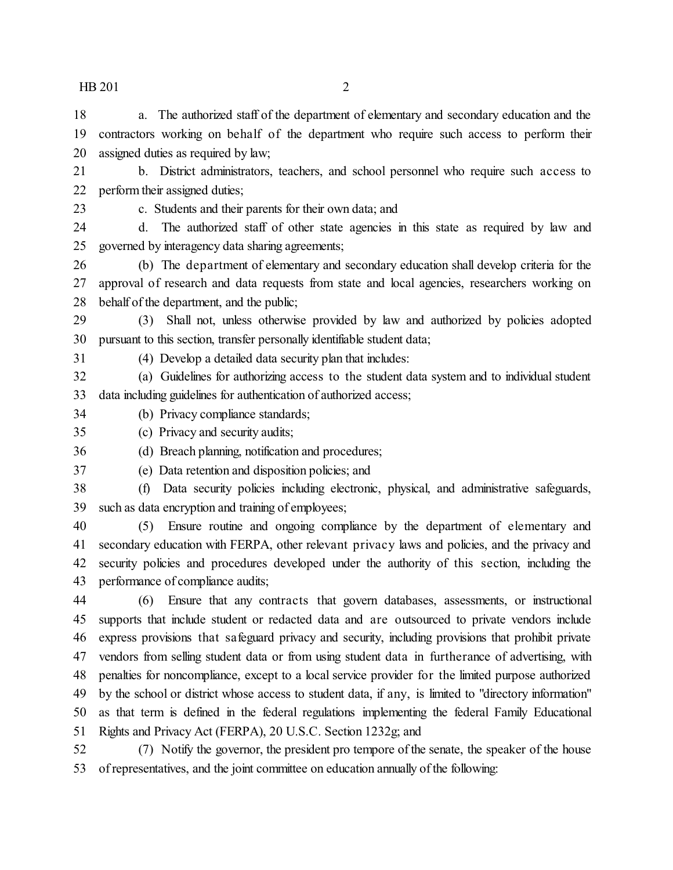$HB 201$  2

 a. The authorized staff of the department of elementary and secondary education and the contractors working on behalf of the department who require such access to perform their assigned duties as required by law;

21 b. District administrators, teachers, and school personnel who require such access to perform their assigned duties;

c. Students and their parents for their own data; and

 d. The authorized staff of other state agencies in this state as required by law and governed by interagency data sharing agreements;

 (b) The department of elementary and secondary education shall develop criteria for the approval of research and data requests from state and local agencies, researchers working on behalf of the department, and the public;

 (3) Shall not, unless otherwise provided by law and authorized by policies adopted pursuant to this section, transfer personally identifiable student data;

(4) Develop a detailed data security plan that includes:

 (a) Guidelines for authorizing access to the student data system and to individual student data including guidelines for authentication of authorized access;

(b) Privacy compliance standards;

(c) Privacy and security audits;

(d) Breach planning, notification and procedures;

 (e) Data retention and disposition policies; and (f) Data security policies including electronic, physical, and administrative safeguards,

such as data encryption and training of employees;

 (5) Ensure routine and ongoing compliance by the department of elementary and secondary education with FERPA, other relevant privacy laws and policies, and the privacy and security policies and procedures developed under the authority of this section, including the performance of compliance audits;

 (6) Ensure that any contracts that govern databases, assessments, or instructional supports that include student or redacted data and are outsourced to private vendors include express provisions that safeguard privacy and security, including provisions that prohibit private vendors from selling student data or from using student data in furtherance of advertising, with penalties for noncompliance, except to a local service provider for the limited purpose authorized by the school or district whose access to student data, if any, is limited to "directory information" as that term is defined in the federal regulations implementing the federal Family Educational Rights and Privacy Act (FERPA), 20 U.S.C. Section 1232g; and

 (7) Notify the governor, the president pro tempore of the senate, the speaker of the house of representatives, and the joint committee on education annually of the following: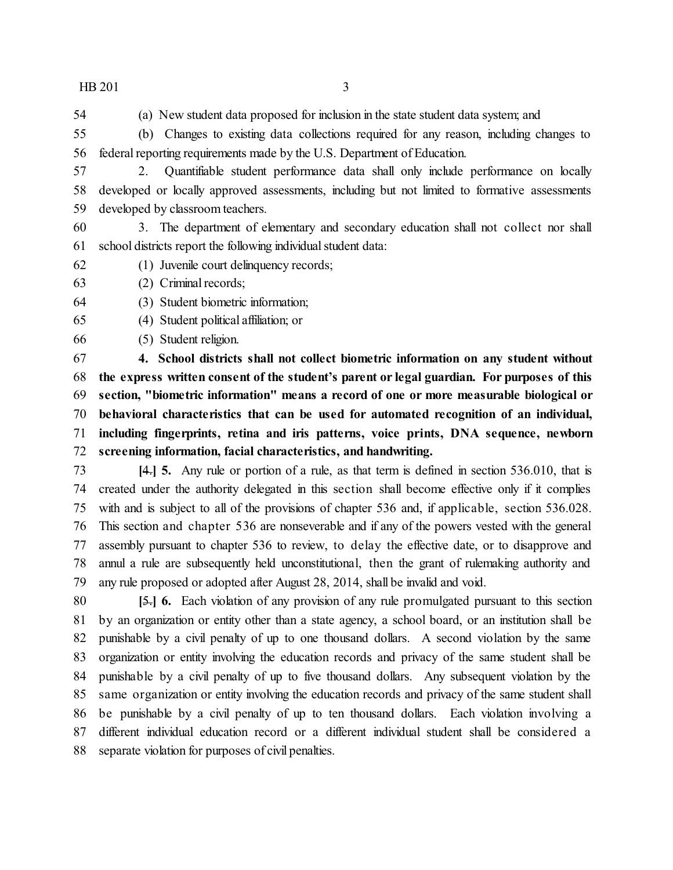$HB 201$  3

(a) New student data proposed for inclusion in the state student data system; and

 (b) Changes to existing data collections required for any reason, including changes to federal reporting requirements made by the U.S. Department of Education.

- 2. Quantifiable student performance data shall only include performance on locally developed or locally approved assessments, including but not limited to formative assessments developed by classroom teachers.
- 3. The department of elementary and secondary education shall not collect nor shall school districts report the following individual student data:
- (1) Juvenile court delinquency records;
- (2) Criminal records;
- (3) Student biometric information;
- (4) Student political affiliation; or
- (5) Student religion.

 **4. School districts shall not collect biometric information on any student without the express written consent of the student's parent or legal guardian. For purposes of this section, "biometric information" means a record of one or more measurable biological or behavioral characteristics that can be used for automated recognition of an individual, including fingerprints, retina and iris patterns, voice prints, DNA sequence, newborn screening information, facial characteristics, and handwriting.**

 **[**4.**] 5.** Any rule or portion of a rule, as that term is defined in section 536.010, that is created under the authority delegated in this section shall become effective only if it complies with and is subject to all of the provisions of chapter 536 and, if applicable, section 536.028. This section and chapter 536 are nonseverable and if any of the powers vested with the general assembly pursuant to chapter 536 to review, to delay the effective date, or to disapprove and annul a rule are subsequently held unconstitutional, then the grant of rulemaking authority and any rule proposed or adopted after August 28, 2014, shall be invalid and void.

 **[**5.**] 6.** Each violation of any provision of any rule promulgated pursuant to this section by an organization or entity other than a state agency, a school board, or an institution shall be punishable by a civil penalty of up to one thousand dollars. A second violation by the same organization or entity involving the education records and privacy of the same student shall be punishable by a civil penalty of up to five thousand dollars. Any subsequent violation by the same organization or entity involving the education records and privacy of the same student shall be punishable by a civil penalty of up to ten thousand dollars. Each violation involving a different individual education record or a different individual student shall be considered a separate violation for purposes of civil penalties.